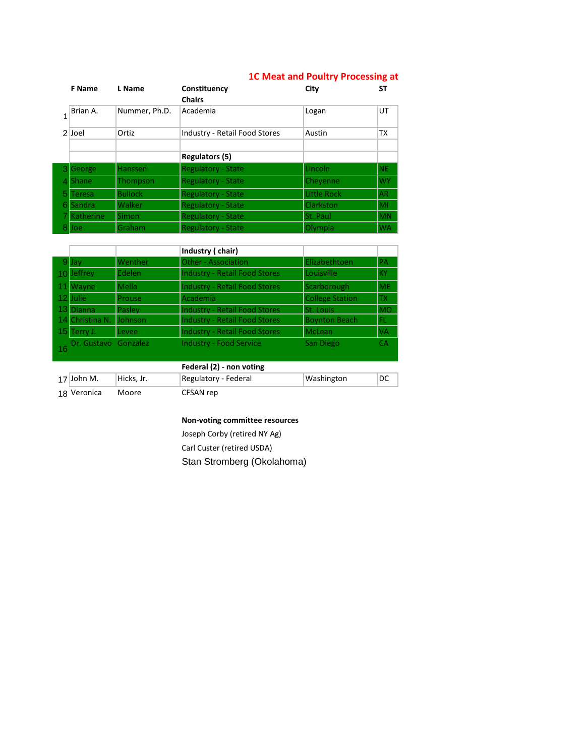|    | <b>F</b> Name    | L Name         | Constituency<br><b>Chairs</b>        | City               | SΤ        |
|----|------------------|----------------|--------------------------------------|--------------------|-----------|
|    | Brian A.         | Nummer, Ph.D.  | Academia                             | Logan              | UT        |
|    | 2 Joel           | Ortiz          | <b>Industry - Retail Food Stores</b> | Austin             | ТX        |
|    |                  |                | <b>Regulators (5)</b>                |                    |           |
|    | George           | <b>Hanssen</b> | <b>Regulatory - State</b>            | Lincoln            | <b>NE</b> |
|    | <b>Shane</b>     | Thompson       | <b>Regulatory - State</b>            | Chevenne           | <b>WY</b> |
| 5. | Teresa           | <b>Bullock</b> | <b>Regulatory - State</b>            | <b>Little Rock</b> | AR        |
| 61 | Sandra           | Walker         | <b>Regulatory - State</b>            | Clarkston          | MI        |
|    | <b>Katherine</b> | <b>Simon</b>   | <b>Regulatory - State</b>            | St. Paul           | <b>MN</b> |
|    | Joe              | Graham         | <b>Regulatory - State</b>            | Olympia            | <b>WA</b> |

## **1C Meat and Poultry Processing at**

|                         |                | Industry (chair)                     |                        |            |
|-------------------------|----------------|--------------------------------------|------------------------|------------|
| $9$ Jav                 | Wenther        | <b>Other - Association</b>           | Elizabethtoen          | <b>PA</b>  |
| 10 Jeffrey              | Edelen         | <b>Industry - Retail Food Stores</b> | Louisville             | <b>KY</b>  |
| 11 Wayne                | <b>Mello</b>   | <b>Industry - Retail Food Stores</b> | Scarborough            | <b>ME</b>  |
| 12 Julie                | Prouse         | Academia                             | <b>College Station</b> | TX.        |
| 13 Dianna               | Pasley         | <b>Industry - Retail Food Stores</b> | <b>St. Louis</b>       | <b>IMO</b> |
| 14 Christina N.         | <b>Johnson</b> | <b>Industry - Retail Food Stores</b> | <b>Boynton Beach</b>   | FL.        |
| 15 Terry J.             | Levee          | <b>Industry - Retail Food Stores</b> | McLean                 | <b>VA</b>  |
| 16 Dr. Gustavo Gonzalez |                | <b>Industry - Food Service</b>       | San Diego              | CA         |
|                         |                |                                      |                        |            |

|                  | Federal (2) - non voting |                                                 |            |    |  |  |
|------------------|--------------------------|-------------------------------------------------|------------|----|--|--|
| 17 John M.       | Hicks. Jr.               | Regulatory - Federal                            | Washington | DC |  |  |
| <b>Allandria</b> | <b>A</b> $A - - - -$     | $C = C \cdot 1 \cdot 1 \cdot 1 \cdot 1 \cdot 1$ |            |    |  |  |

Veronica Moore CFSAN rep

## **Non-voting committee resources**

Joseph Corby (retired NY Ag) Carl Custer (retired USDA) Stan Stromberg (Okolahoma)